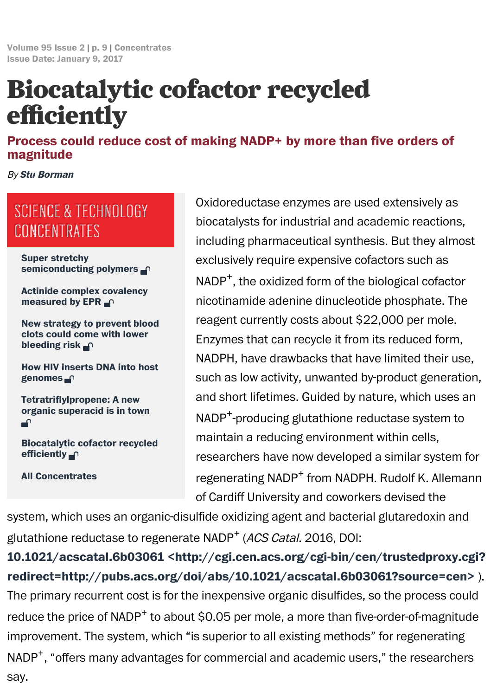## Process could reduce cost of making NADP+ by more than five orders magnitude

By Stu Borman

## SCIENCE & TECHNOLOGY CONCENTRATES

Super stretchy semiconducting polymers  $\bigcap$ 

Actinide complex covalency [measured b](http://cen.acs.org/static/about/staff_landing/biosb.html)y EPR  $\cap$ 

New strategy to prevent blood clots could come with lower bleeding risk n

How HIV inserts DNA into host genomes n

[Tetratriflylpropene: A new](http://cen.acs.org/articles/95/i2/Super-stretchy-semiconducting-polymers.html) organic superacid is in to[wn](http://cen.acs.org/articles/95/i2/Super-stretchy-semiconducting-polymers.html) ⊋

[Biocatalytic cofactor recycle](http://cen.acs.org/articles/95/i2/Actinide-complex-covalency-measured-EPR.html)d efficiently  $\bigcap$ 

[All Concentrates](http://cen.acs.org/articles/95/i2/New-strategy-prevent-blood-clots.html)

Oxidoreductase enzymes are used extensive biocatalysts for industrial and academic reaction including pharmaceutical synthesis. But they exclusively require expensive cofactors such  $NADP<sup>+</sup>$ , the oxidized form of the biological cofactor nicotinamide adenine dinucleotide phosphat reagent currently costs about \$22,000 per m Enzymes that can recycle it from its reduced NADPH, have drawbacks that have limited the such as low activity, unwanted by-product gene and short lifetimes. Guided by nature, which  $NADP^+$ -producing glutathione reductase system maintain a reducing environment within cells, researchers have now developed a similar sy regenerating NADP<sup>+</sup> from NADPH. Rudolf K.  $A$ of Cardiff University and coworkers devised the

system, [which](http://cen.acs.org/articles/95/i2/HIV-inserts-DNA-host-genomes.html) uses an organic-disulfide oxidizing agent and bacterial glutaredox glutathione [reductase](http://cen.acs.org/articles/95/i2/Tetratriflylpropene-new-organic-superacid-town.html) to regenerate NADP<sup>+</sup> (ACS Catal. 2016, DOI:

10[.1](http://cen.acs.org/articles/95/i2/Tetratriflylpropene-new-organic-superacid-town.html)021/acscatal.6b03061 <http://cgi.cen.acs.org/cgi-bin/cen/trustedpr re[direct=http://pubs.acs.o](http://cen.acs.org/articles/95/i2/Biocatalytic-cofactor-recycled-efficiently.html)rg/doi/abs/10.1021/acscatal.6b03061?source The primary recurrent cost is for the inexpensive organic disulfides, so the proce reduce the [price](http://cen.acs.org/collections/con.html) of NADP<sup>+</sup> to about \$0.05 per mole, a more than five-order-of-ma improvement. The system, which "is superior to all existing methods" for regeneration  $NADP<sup>+</sup>$ , "offers many advantages for commercial and academic users," the resear[say.](http://cgi.cen.acs.org/cgi-bin/cen/trustedproxy.cgi?redirect=http://pubs.acs.org/doi/abs/10.1021/acscatal.6b03061?source=cen)